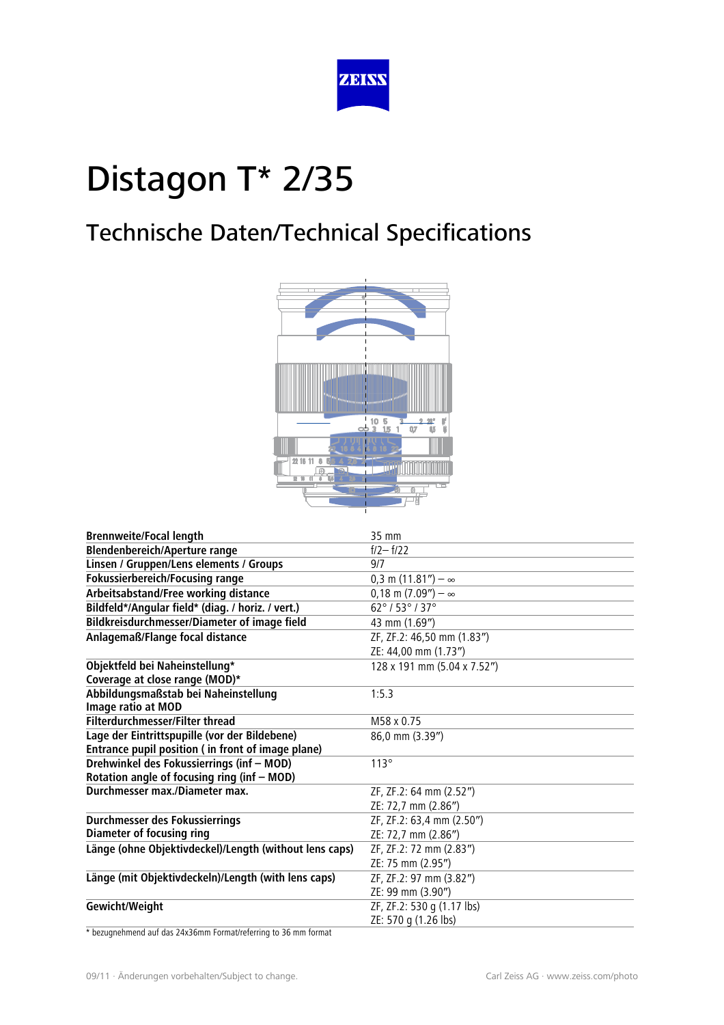

## Technische Daten/Technical Specifications



| <b>Brennweite/Focal length</b>                         | 35 mm                                        |
|--------------------------------------------------------|----------------------------------------------|
| <b>Blendenbereich/Aperture range</b>                   | $f/2 - f/22$                                 |
| Linsen / Gruppen/Lens elements / Groups                | 9/7                                          |
| <b>Fokussierbereich/Focusing range</b>                 | $0,3 \text{ m } (11.81'') - \infty$          |
| Arbeitsabstand/Free working distance                   | $0,18 \text{ m } (7.09'') - \infty$          |
| Bildfeld*/Angular field* (diag. / horiz. / vert.)      | $62^{\circ}$ / 53 $^{\circ}$ / 37 $^{\circ}$ |
| Bildkreisdurchmesser/Diameter of image field           | 43 mm (1.69")                                |
| Anlagemaß/Flange focal distance                        | ZF, ZF.2: 46,50 mm (1.83")                   |
|                                                        | ZE: 44,00 mm (1.73")                         |
| Objektfeld bei Naheinstellung*                         | 128 x 191 mm (5.04 x 7.52")                  |
| Coverage at close range (MOD)*                         |                                              |
| Abbildungsmaßstab bei Naheinstellung                   | 1:5.3                                        |
| Image ratio at MOD                                     |                                              |
| Filterdurchmesser/Filter thread                        | M58 x 0.75                                   |
| Lage der Eintrittspupille (vor der Bildebene)          | 86,0 mm (3.39")                              |
| Entrance pupil position (in front of image plane)      |                                              |
| Drehwinkel des Fokussierrings (inf - MOD)              | 113°                                         |
| Rotation angle of focusing ring (inf - MOD)            |                                              |
| Durchmesser max./Diameter max.                         | ZF, ZF.2: 64 mm (2.52")                      |
|                                                        | ZE: 72,7 mm (2.86")                          |
| Durchmesser des Fokussierrings                         | ZF, ZF.2: 63,4 mm (2.50")                    |
| <b>Diameter of focusing ring</b>                       | ZE: 72,7 mm (2.86")                          |
| Länge (ohne Objektivdeckel)/Length (without lens caps) | ZF, ZF.2: 72 mm (2.83")                      |
|                                                        | ZE: 75 mm (2.95")                            |
| Länge (mit Objektivdeckeln)/Length (with lens caps)    | ZF, ZF.2: 97 mm (3.82")                      |
|                                                        | ZE: 99 mm (3.90")                            |
| Gewicht/Weight                                         | ZF, ZF.2: 530 g (1.17 lbs)                   |
|                                                        | ZE: 570 g (1.26 lbs)                         |

\* bezugnehmend auf das 24x36mm Format/referring to 36 mm format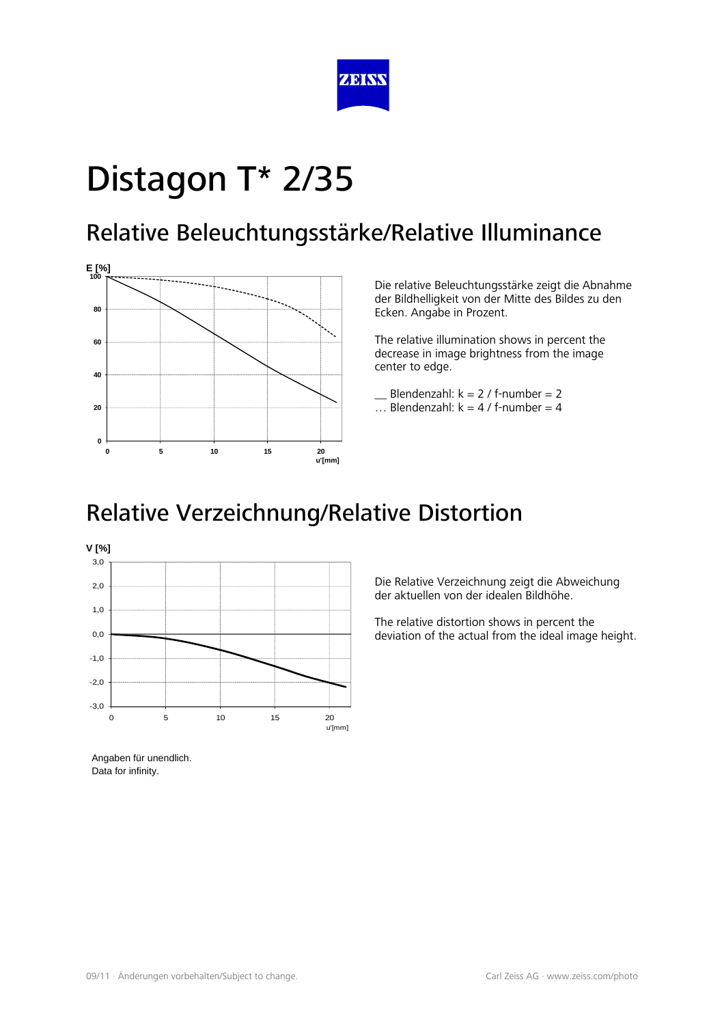

#### Relative Beleuchtungsstärke/Relative Illuminance



Die relative Beleuchtungsstärke zeigt die Abnahme der Bildhelligkeit von der Mitte des Bildes zu den Ecken. Angabe in Prozent.

The relative illumination shows in percent the decrease in image brightness from the image center to edge.

- Blendenzahl:  $k = 2 / f$ -number = 2
- ... Blendenzahl:  $k = 4 / f$ -number = 4

### Relative Verzeichnung/Relative Distortion



Angaben für unendlich. Data for infinity.

Die Relative Verzeichnung zeigt die Abweichung der aktuellen von der idealen Bildhöhe.

The relative distortion shows in percent the deviation of the actual from the ideal image height.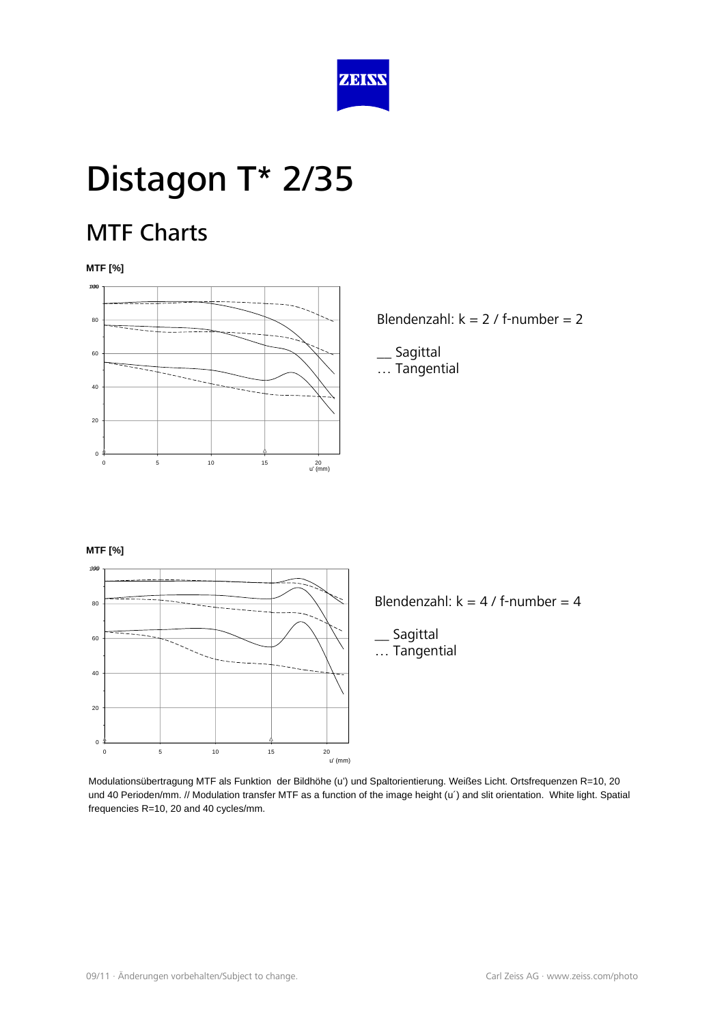

#### MTF Charts

**MTF [%]** 



Blendenzahl:  $k = 2 / f$ -number = 2

\_\_ Sagittal … Tangential

#### **MTF [%]**



Blendenzahl:  $k = 4 / f$ -number = 4

**Sagittal** … Tangential

Modulationsübertragung MTF als Funktion der Bildhöhe (u') und Spaltorientierung. Weißes Licht. Ortsfrequenzen R=10, 20 und 40 Perioden/mm. // Modulation transfer MTF as a function of the image height (u') and slit orientation. White light. Spatial frequencies R=10, 20 and 40 cycles/mm.